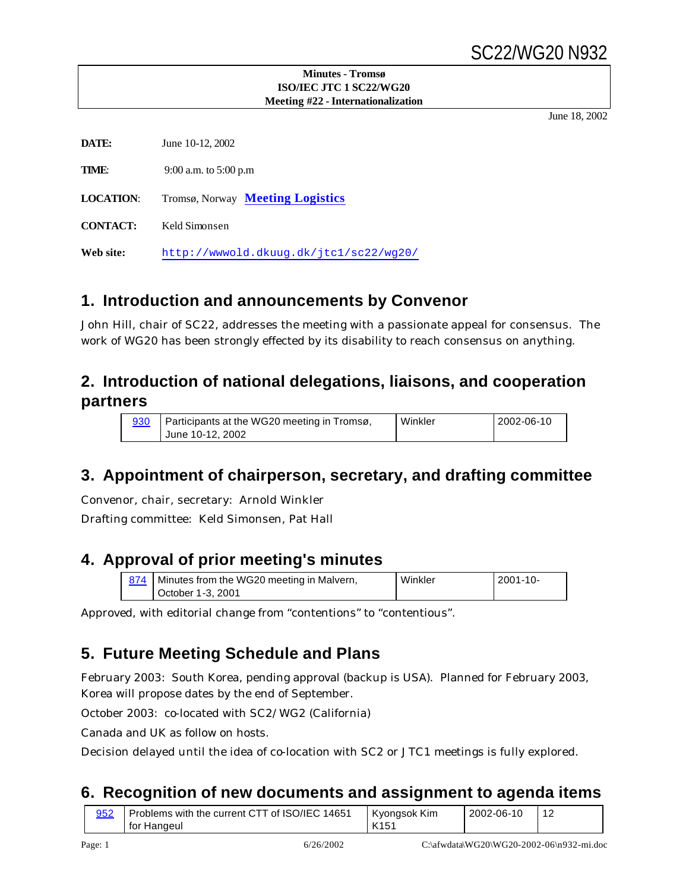# SC22/WG20 N932

#### **Minutes - Tromsø ISO/IEC JTC 1 SC22/WG20 Meeting #22 - Internationalization**

June 18, 2002

| DATE:            | June 10-12, 2002                       |
|------------------|----------------------------------------|
| TIME:            | 9:00 a.m. to 5:00 p.m                  |
| <b>LOCATION:</b> | Tromsø, Norway Meeting Logistics       |
| <b>CONTACT:</b>  | Keld Simonsen                          |
| Web site:        | http://wwwold.dkuuq.dk/jtcl/sc22/wq20/ |

## **1. Introduction and announcements by Convenor**

John Hill, chair of SC22, addresses the meeting with a passionate appeal for consensus. The work of WG20 has been strongly effected by its disability to reach consensus on anything.

# **2. Introduction of national delegations, liaisons, and cooperation partners**

| 930 | Participants at the WG20 meeting in Tromsø, | Winkler | $12002 - 06 - 10$ |
|-----|---------------------------------------------|---------|-------------------|
|     | June 10-12, 2002                            |         |                   |

# **3. Appointment of chairperson, secretary, and drafting committee**

Convenor, chair, secretary: Arnold Winkler

Drafting committee: Keld Simonsen, Pat Hall

# **4. Approval of prior meeting's minutes**

| 874   Minutes from the WG20 meeting in Malvern, | Winkler | $12001 - 10 -$ |
|-------------------------------------------------|---------|----------------|
| l October 1-3, 2001                             |         |                |

Approved, with editorial change from "contentions" to "contentious".

# **5. Future Meeting Schedule and Plans**

February 2003: South Korea, pending approval (backup is USA). Planned for February 2003, Korea will propose dates by the end of September.

October 2003: co-located with SC2/WG2 (California)

Canada and UK as follow on hosts.

Decision delayed until the idea of co-location with SC2 or JTC1 meetings is fully explored.

# **6. Recognition of new documents and assignment to agenda items**

| 952 | Problems with the current CTT of ISO/IEC 14651<br>for Hangeul | Kvonasok Kim<br>K <sub>151</sub> | 2002-06-10 |  |
|-----|---------------------------------------------------------------|----------------------------------|------------|--|
|-----|---------------------------------------------------------------|----------------------------------|------------|--|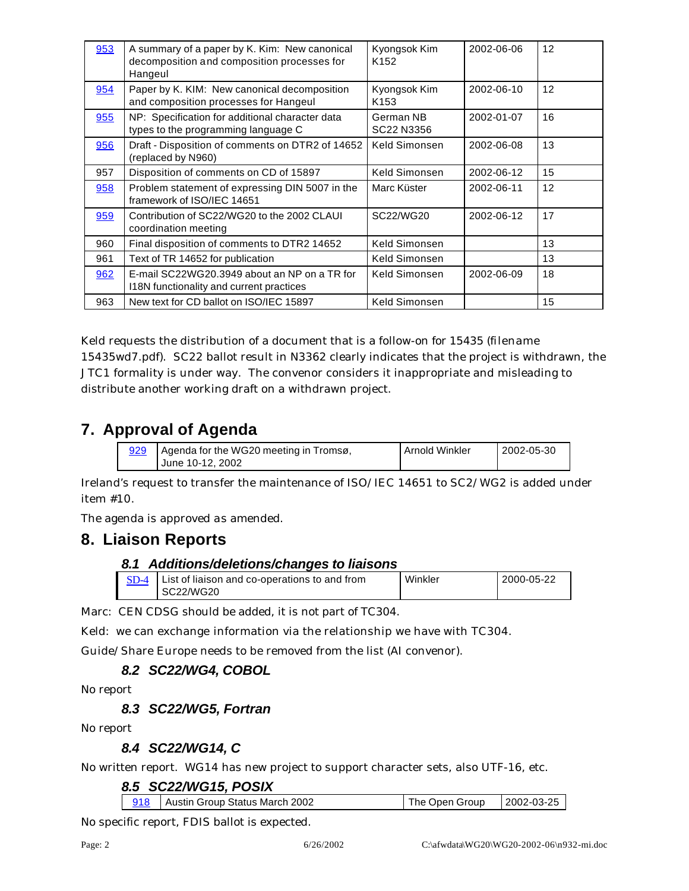| 953 | A summary of a paper by K. Kim: New canonical<br>decomposition and composition processes for<br>Hangeul | Kyongsok Kim<br>K <sub>152</sub> | 2002-06-06 | 12              |
|-----|---------------------------------------------------------------------------------------------------------|----------------------------------|------------|-----------------|
| 954 | Paper by K. KIM: New canonical decomposition<br>and composition processes for Hangeul                   | Kyongsok Kim<br>K <sub>153</sub> | 2002-06-10 | 12 <sup>2</sup> |
| 955 | NP: Specification for additional character data<br>types to the programming language C                  | German NB<br>SC22 N3356          | 2002-01-07 | 16              |
| 956 | Draft - Disposition of comments on DTR2 of 14652<br>(replaced by N960)                                  | Keld Simonsen                    | 2002-06-08 | 13              |
| 957 | Disposition of comments on CD of 15897                                                                  | Keld Simonsen                    | 2002-06-12 | 15              |
| 958 | Problem statement of expressing DIN 5007 in the<br>framework of ISO/IEC 14651                           | Marc Küster                      | 2002-06-11 | 12              |
| 959 | Contribution of SC22/WG20 to the 2002 CLAUI<br>coordination meeting                                     | SC22/WG20                        | 2002-06-12 | 17              |
| 960 | Final disposition of comments to DTR2 14652                                                             | Keld Simonsen                    |            | 13              |
| 961 | Text of TR 14652 for publication                                                                        | Keld Simonsen                    |            | 13              |
| 962 | E-mail SC22WG20.3949 about an NP on a TR for<br>118N functionality and current practices                | Keld Simonsen                    | 2002-06-09 | 18              |
| 963 | New text for CD ballot on ISO/IEC 15897                                                                 | Keld Simonsen                    |            | 15              |

Keld requests the distribution of a document that is a follow-on for 15435 (filename 15435wd7.pdf). SC22 ballot result in N3362 clearly indicates that the project is withdrawn, the JTC1 formality is under way. The convenor considers it inappropriate and misleading to distribute another working draft on a withdrawn project.

# **7. Approval of Agenda**

| 929 | Agenda for the WG20 meeting in Tromsø, | Arnold Winkler | $12002 - 05 - 30$ |
|-----|----------------------------------------|----------------|-------------------|
|     | June 10-12, 2002                       |                |                   |

Ireland's request to transfer the maintenance of ISO/IEC 14651 to SC2/WG2 is added under item #10.

The agenda is approved as amended.

# **8. Liaison Reports**

#### *8.1 Additions/deletions/changes to liaisons*

| List of liaison and co-operations to and from | Winkler | 2000-05-22 |
|-----------------------------------------------|---------|------------|
| SC22/WG20                                     |         |            |
|                                               |         |            |

Marc: CEN CDSG should be added, it is not part of TC304.

Keld: we can exchange information via the relationship we have with TC304.

Guide/Share Europe needs to be removed from the list (AI convenor).

### *8.2 SC22/WG4, COBOL*

No report

#### *8.3 SC22/WG5, Fortran*

No report

#### *8.4 SC22/WG14, C*

No written report. WG14 has new project to support character sets, also UTF-16, etc.

#### *8.5 SC22/WG15, POSIX*

| 2002-03-25<br>918   Austin Group Status March 2002<br>The Open Group |
|----------------------------------------------------------------------|
|----------------------------------------------------------------------|

No specific report, FDIS ballot is expected.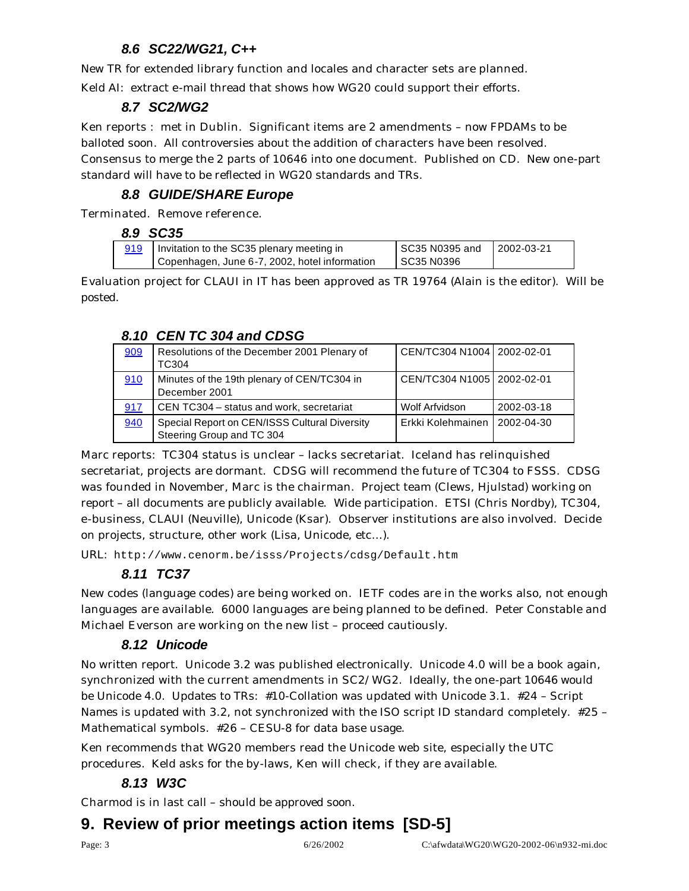## *8.6 SC22/WG21, C++*

New TR for extended library function and locales and character sets are planned.

Keld AI: extract e-mail thread that shows how WG20 could support their efforts.

#### *8.7 SC2/WG2*

Ken reports : met in Dublin. Significant items are 2 amendments – now FPDAMs to be balloted soon. All controversies about the addition of characters have been resolved. Consensus to merge the 2 parts of 10646 into one document. Published on CD. New one-part standard will have to be reflected in WG20 standards and TRs.

### *8.8 GUIDE/SHARE Europe*

Terminated. Remove reference.

|     | 8.9 SC35                                      |                  |            |
|-----|-----------------------------------------------|------------------|------------|
| 919 | Invitation to the SC35 plenary meeting in     | l SC35 N0395 and | 2002-03-21 |
|     | Copenhagen, June 6-7, 2002, hotel information | SC35 N0396       |            |

Evaluation project for CLAUI in IT has been approved as TR 19764 (Alain is the editor). Will be posted.

#### *8.10 CEN TC 304 and CDSG*

| 909 | Resolutions of the December 2001 Plenary of<br>TC304                       | CEN/TC304 N1004 2002-02-01 |            |
|-----|----------------------------------------------------------------------------|----------------------------|------------|
| 910 | Minutes of the 19th plenary of CEN/TC304 in<br>December 2001               | CEN/TC304 N1005 2002-02-01 |            |
| 917 | CEN TC304 – status and work, secretariat                                   | Wolf Arfvidson             | 2002-03-18 |
| 940 | Special Report on CEN/ISSS Cultural Diversity<br>Steering Group and TC 304 | Erkki Kolehmainen          | 2002-04-30 |

Marc reports: TC304 status is unclear – lacks secretariat. Iceland has relinquished secretariat, projects are dormant. CDSG will recommend the future of TC304 to FSSS. CDSG was founded in November, Marc is the chairman. Project team (Clews, Hjulstad) working on report – all documents are publicly available. Wide participation. ETSI (Chris Nordby), TC304, e-business, CLAUI (Neuville), Unicode (Ksar). Observer institutions are also involved. Decide on projects, structure, other work (Lisa, Unicode, etc…).

URL: http://www.cenorm.be/isss/Projects/cdsg/Default.htm

## *8.11 TC37*

New codes (language codes) are being worked on. IETF codes are in the works also, not enough languages are available. 6000 languages are being planned to be defined. Peter Constable and Michael Everson are working on the new list – proceed cautiously.

### *8.12 Unicode*

No written report. Unicode 3.2 was published electronically. Unicode 4.0 will be a book again, synchronized with the current amendments in SC2/WG2. Ideally, the one-part 10646 would be Unicode 4.0. Updates to TRs: #10-Collation was updated with Unicode 3.1. #24 – Script Names is updated with 3.2, not synchronized with the ISO script ID standard completely. #25 – Mathematical symbols. #26 – CESU-8 for data base usage.

Ken recommends that WG20 members read the Unicode web site, especially the UTC procedures. Keld asks for the by-laws, Ken will check, if they are available.

### *8.13 W3C*

Charmod is in last call – should be approved soon.

# **9. Review of prior meetings action items [SD-5]**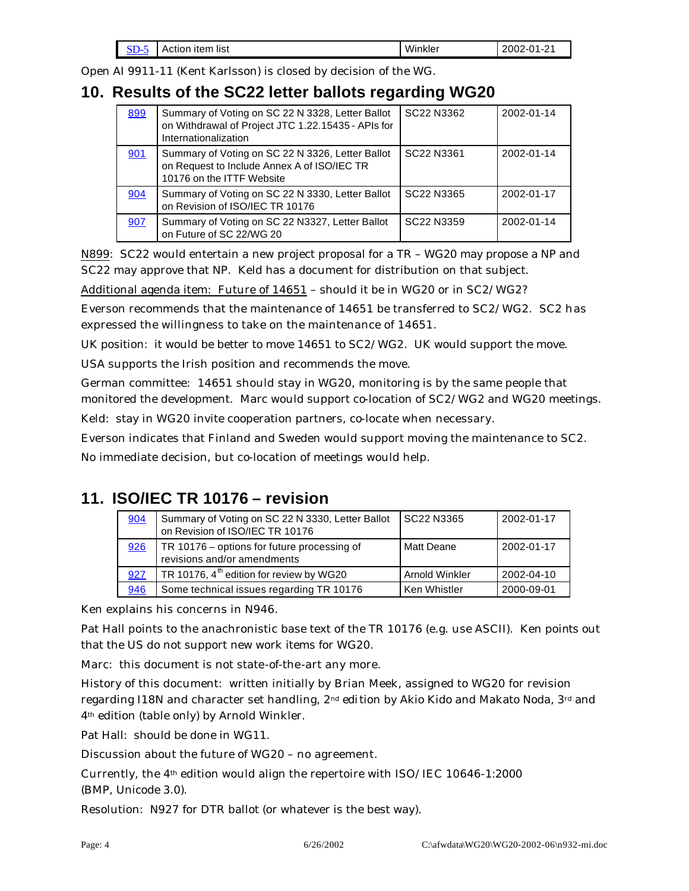| $\sim$<br>ברוג<br>־ש | Action item list | Winkler | ∕-∩≁<br>2002<br>n.<br>$\overline{\phantom{0}}$<br>. .<br>$\cdot$ $\cdot$ |
|----------------------|------------------|---------|--------------------------------------------------------------------------|
|----------------------|------------------|---------|--------------------------------------------------------------------------|

Open AI 9911-11 (Kent Karlsson) is closed by decision of the WG.

# **10. Results of the SC22 letter ballots regarding WG20**

| 899 | Summary of Voting on SC 22 N 3328, Letter Ballot<br>on Withdrawal of Project JTC 1.22.15435 - APIs for<br>Internationalization | SC22 N3362                         | 2002-01-14 |
|-----|--------------------------------------------------------------------------------------------------------------------------------|------------------------------------|------------|
| 901 | Summary of Voting on SC 22 N 3326, Letter Ballot<br>on Request to Include Annex A of ISO/IEC TR<br>10176 on the ITTF Website   | SC22 N3361                         | 2002-01-14 |
| 904 | Summary of Voting on SC 22 N 3330, Letter Ballot<br>on Revision of ISO/IEC TR 10176                                            | SC <sub>22</sub> N <sub>3365</sub> | 2002-01-17 |
| 907 | Summary of Voting on SC 22 N3327, Letter Ballot<br>on Future of SC 22/WG 20                                                    | SC <sub>22</sub> N <sub>3359</sub> | 2002-01-14 |

N899: SC22 would entertain a new project proposal for a TR – WG20 may propose a NP and SC22 may approve that NP. Keld has a document for distribution on that subject.

Additional agenda item: Future of 14651 – should it be in WG20 or in SC2/WG2?

Everson recommends that the maintenance of 14651 be transferred to SC2/WG2. SC2 has expressed the willingness to take on the maintenance of 14651.

UK position: it would be better to move 14651 to SC2/WG2. UK would support the move.

USA supports the Irish position and recommends the move.

German committee: 14651 should stay in WG20, monitoring is by the same people that monitored the development. Marc would support co-location of SC2/WG2 and WG20 meetings.

Keld: stay in WG20 invite cooperation partners, co-locate when necessary.

Everson indicates that Finland and Sweden would support moving the maintenance to SC2.

No immediate decision, but co-location of meetings would help.

# **11. ISO/IEC TR 10176 – revision**

| 904 | Summary of Voting on SC 22 N 3330, Letter Ballot<br>on Revision of ISO/IEC TR 10176 | SC22 N3365     | 2002-01-17 |
|-----|-------------------------------------------------------------------------------------|----------------|------------|
| 926 | TR 10176 – options for future processing of<br>revisions and/or amendments          | Matt Deane     | 2002-01-17 |
| 927 | TR 10176, $4^{\text{th}}$ edition for review by WG20                                | Arnold Winkler | 2002-04-10 |
| 946 | Some technical issues regarding TR 10176                                            | Ken Whistler   | 2000-09-01 |

Ken explains his concerns in N946.

Pat Hall points to the anachronistic base text of the TR 10176 (e.g. use ASCII). Ken points out that the US do not support new work items for WG20.

Marc: this document is not state-of-the-art any more.

History of this document: written initially by Brian Meek, assigned to WG20 for revision regarding I18N and character set handling, 2<sup>nd</sup> edition by Akio Kido and Makato Noda, 3<sup>rd</sup> and 4th edition (table only) by Arnold Winkler.

Pat Hall: should be done in WG11.

Discussion about the future of WG20 – no agreement.

Currently, the  $4<sup>th</sup>$  edition would align the repertoire with ISO/IEC 10646-1:2000 (BMP, Unicode 3.0).

Resolution: N927 for DTR ballot (or whatever is the best way).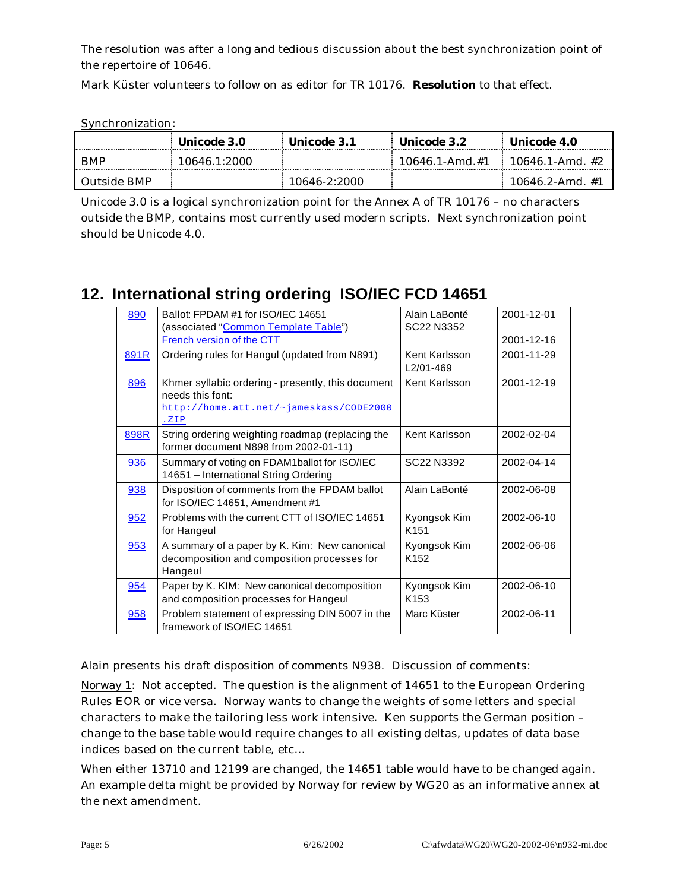The resolution was after a long and tedious discussion about the best synchronization point of the repertoire of 10646.

Mark Küster volunteers to follow on as editor for TR 10176. **Resolution** to that effect.

Synchronization:

|             | Unicode 3.0  | Unicode 3.1  | Unicode 3.2      | Unicode 4.0        |
|-------------|--------------|--------------|------------------|--------------------|
| BMP         | 10646.1:2000 |              | $10646$ 1-Amd #1 | $10646$ 1-Amd $#2$ |
| Outside BMP |              | 10646-2:2000 |                  | 10646 2-Amd #1     |

Unicode 3.0 is a logical synchronization point for the Annex A of TR 10176 – no characters outside the BMP, contains most currently used modern scripts. Next synchronization point should be Unicode 4.0.

# **12. International string ordering ISO/IEC FCD 14651**

| 890  | Ballot: FPDAM #1 for ISO/IEC 14651<br>(associated "Common Template Table")<br>French version of the CTT                    | Alain LaBonté<br>SC22 N3352      | 2001-12-01<br>2001-12-16 |
|------|----------------------------------------------------------------------------------------------------------------------------|----------------------------------|--------------------------|
| 891R | Ordering rules for Hangul (updated from N891)                                                                              | Kent Karlsson<br>L2/01-469       | 2001-11-29               |
| 896  | Khmer syllabic ordering - presently, this document<br>needs this font:<br>http://home.att.net/~jameskass/CODE2000<br>. ZIP | Kent Karlsson                    | 2001-12-19               |
| 898R | String ordering weighting roadmap (replacing the<br>former document N898 from 2002-01-11)                                  | Kent Karlsson                    | 2002-02-04               |
| 936  | Summary of voting on FDAM1ballot for ISO/IEC<br>14651 - International String Ordering                                      | SC22 N3392                       | 2002-04-14               |
| 938  | Disposition of comments from the FPDAM ballot<br>for ISO/IEC 14651, Amendment #1                                           | Alain LaBonté                    | 2002-06-08               |
| 952  | Problems with the current CTT of ISO/IEC 14651<br>for Hangeul                                                              | Kyongsok Kim<br>K <sub>151</sub> | 2002-06-10               |
| 953  | A summary of a paper by K. Kim: New canonical<br>decomposition and composition processes for<br>Hangeul                    | Kyongsok Kim<br>K <sub>152</sub> | 2002-06-06               |
| 954  | Paper by K. KIM: New canonical decomposition<br>and composition processes for Hangeul                                      | Kyongsok Kim<br>K <sub>153</sub> | 2002-06-10               |
| 958  | Problem statement of expressing DIN 5007 in the<br>framework of ISO/IEC 14651                                              | Marc Küster                      | 2002-06-11               |

Alain presents his draft disposition of comments N938. Discussion of comments:

Norway 1: Not accepted. The question is the alignment of 14651 to the European Ordering Rules EOR or vice versa. Norway wants to change the weights of some letters and special characters to make the tailoring less work intensive. Ken supports the German position – change to the base table would require changes to all existing deltas, updates of data base indices based on the current table, etc…

When either 13710 and 12199 are changed, the 14651 table would have to be changed again. An example delta might be provided by Norway for review by WG20 as an informative annex at the next amendment.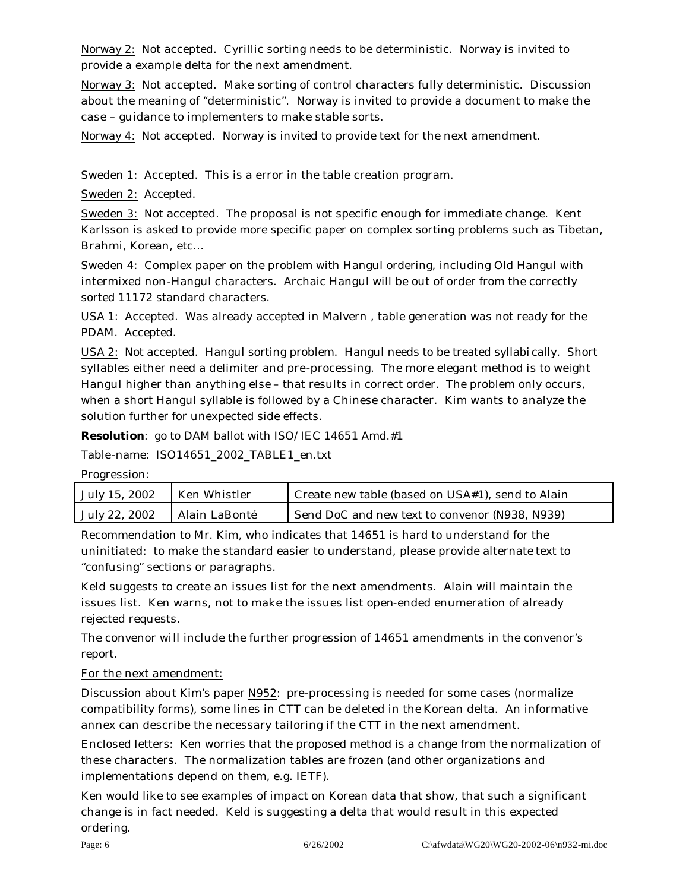Norway 2: Not accepted. Cyrillic sorting needs to be deterministic. Norway is invited to provide a example delta for the next amendment.

Norway 3: Not accepted. Make sorting of control characters fully deterministic. Discussion about the meaning of "deterministic". Norway is invited to provide a document to make the case – guidance to implementers to make stable sorts.

Norway 4: Not accepted. Norway is invited to provide text for the next amendment.

Sweden 1: Accepted. This is a error in the table creation program.

Sweden 2: Accepted.

Sweden 3: Not accepted. The proposal is not specific enough for immediate change. Kent Karlsson is asked to provide more specific paper on complex sorting problems such as Tibetan, Brahmi, Korean, etc…

Sweden 4: Complex paper on the problem with Hangul ordering, including Old Hangul with intermixed non-Hangul characters. Archaic Hangul will be out of order from the correctly sorted 11172 standard characters.

USA 1: Accepted. Was already accepted in Malvern , table generation was not ready for the PDAM. Accepted.

USA 2: Not accepted. Hangul sorting problem. Hangul needs to be treated syllabi cally. Short syllables either need a delimiter and pre-processing. The more elegant method is to weight Hangul higher than anything else – that results in correct order. The problem only occurs, when a short Hangul syllable is followed by a Chinese character. Kim wants to analyze the solution further for unexpected side effects.

**Resolution**: go to DAM ballot with ISO/IEC 14651 Amd.#1

Table-name: ISO14651\_2002\_TABLE1\_en.txt

| Progression: |
|--------------|
|--------------|

| July 15, 2002 | Ken Whistler  | Create new table (based on USA#1), send to Alain |
|---------------|---------------|--------------------------------------------------|
| July 22, 2002 | Alain LaBonté | Send DoC and new text to convenor (N938, N939)   |

Recommendation to Mr. Kim, who indicates that 14651 is hard to understand for the uninitiated: to make the standard easier to understand, please provide alternate text to "confusing" sections or paragraphs.

Keld suggests to create an issues list for the next amendments. Alain will maintain the issues list. Ken warns, not to make the issues list open-ended enumeration of already rejected requests.

The convenor will include the further progression of 14651 amendments in the convenor's report.

#### For the next amendment:

Discussion about Kim's paper N952: pre-processing is needed for some cases (normalize compatibility forms), some lines in CTT can be deleted in the Korean delta. An informative annex can describe the necessary tailoring if the CTT in the next amendment.

Enclosed letters: Ken worries that the proposed method is a change from the normalization of these characters. The normalization tables are frozen (and other organizations and implementations depend on them, e.g. IETF).

Ken would like to see examples of impact on Korean data that show, that such a significant change is in fact needed. Keld is suggesting a delta that would result in this expected ordering.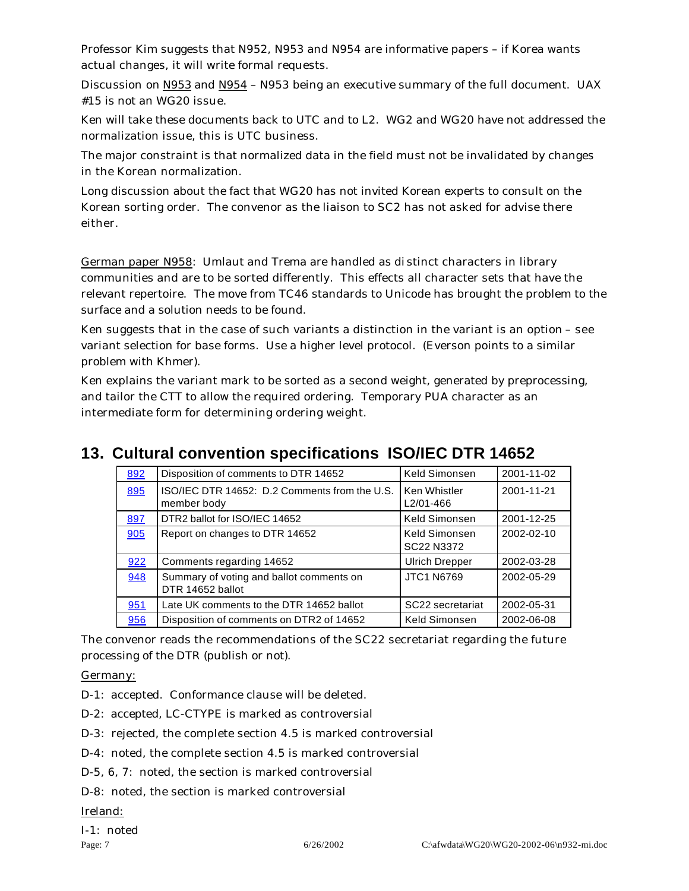Professor Kim suggests that N952, N953 and N954 are informative papers – if Korea wants actual changes, it will write formal requests.

Discussion on N953 and N954 – N953 being an executive summary of the full document. UAX #15 is not an WG20 issue.

Ken will take these documents back to UTC and to L2. WG2 and WG20 have not addressed the normalization issue, this is UTC business.

The major constraint is that normalized data in the field must not be invalidated by changes in the Korean normalization.

Long discussion about the fact that WG20 has not invited Korean experts to consult on the Korean sorting order. The convenor as the liaison to SC2 has not asked for advise there either.

German paper N958: Umlaut and Trema are handled as di stinct characters in library communities and are to be sorted differently. This effects all character sets that have the relevant repertoire. The move from TC46 standards to Unicode has brought the problem to the surface and a solution needs to be found.

Ken suggests that in the case of such variants a distinction in the variant is an option – see variant selection for base forms. Use a higher level protocol. (Everson points to a similar problem with Khmer).

Ken explains the variant mark to be sorted as a second weight, generated by preprocessing, and tailor the CTT to allow the required ordering. Temporary PUA character as an intermediate form for determining ordering weight.

# **13. Cultural convention specifications ISO/IEC DTR 14652**

| 892 | Disposition of comments to DTR 14652                         | Keld Simonsen                    | 2001-11-02 |
|-----|--------------------------------------------------------------|----------------------------------|------------|
| 895 | ISO/IEC DTR 14652: D.2 Comments from the U.S.<br>member body | <b>Ken Whistler</b><br>L2/01-466 | 2001-11-21 |
| 897 | DTR2 ballot for ISO/IEC 14652                                | Keld Simonsen                    | 2001-12-25 |
| 905 | Report on changes to DTR 14652                               | Keld Simonsen<br>SC22 N3372      | 2002-02-10 |
| 922 | Comments regarding 14652                                     | <b>Ulrich Drepper</b>            | 2002-03-28 |
| 948 | Summary of voting and ballot comments on<br>DTR 14652 ballot | <b>JTC1 N6769</b>                | 2002-05-29 |
| 951 | Late UK comments to the DTR 14652 ballot                     | SC22 secretariat                 | 2002-05-31 |
| 956 | Disposition of comments on DTR2 of 14652                     | Keld Simonsen                    | 2002-06-08 |

The convenor reads the recommendations of the SC22 secretariat regarding the future processing of the DTR (publish or not).

Germany:

D-1: accepted. Conformance clause will be deleted.

D-2: accepted, LC-CTYPE is marked as controversial

D-3: rejected, the complete section 4.5 is marked controversial

D-4: noted, the complete section 4.5 is marked controversial

D-5, 6, 7: noted, the section is marked controversial

D-8: noted, the section is marked controversial

Ireland: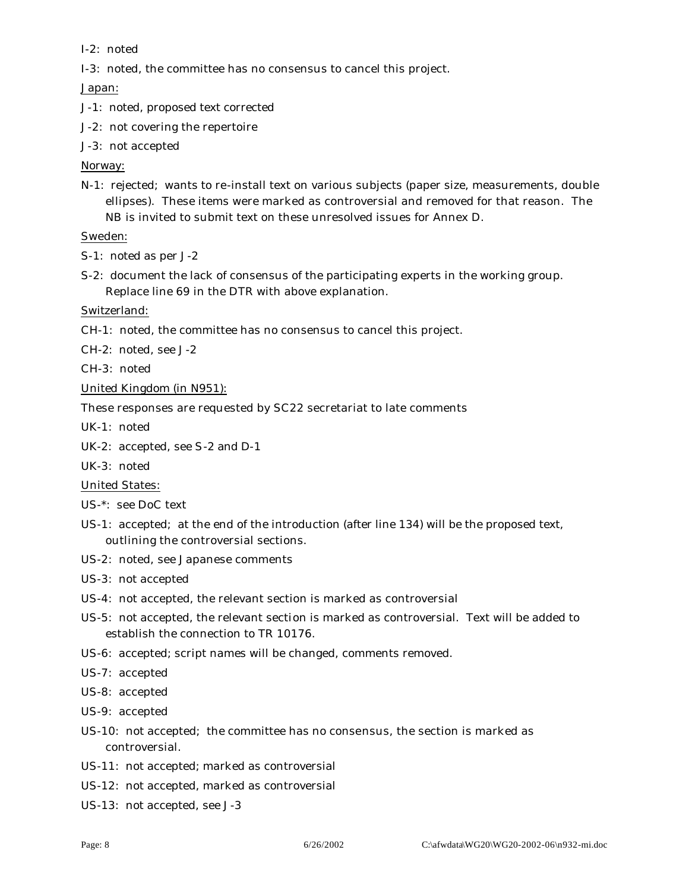I-2: noted

I-3: noted, the committee has no consensus to cancel this project.

Japan:

- J-1: noted, proposed text corrected
- J-2: not covering the repertoire
- J-3: not accepted

#### Norway:

N-1: rejected; wants to re-install text on various subjects (paper size, measurements, double ellipses). These items were marked as controversial and removed for that reason. The NB is invited to submit text on these unresolved issues for Annex D.

#### Sweden:

- S-1: noted as per J-2
- S-2: document the lack of consensus of the participating experts in the working group. Replace line 69 in the DTR with above explanation.

Switzerland:

CH-1: noted, the committee has no consensus to cancel this project.

CH-2: noted, see J-2

CH-3: noted

United Kingdom (in N951):

These responses are requested by SC22 secretariat to late comments

UK-1: noted

UK-2: accepted, see S-2 and D-1

UK-3: noted

United States:

- US-\*: see DoC text
- US-1: accepted; at the end of the introduction (after line 134) will be the proposed text, outlining the controversial sections.
- US-2: noted, see Japanese comments
- US-3: not accepted
- US-4: not accepted, the relevant section is marked as controversial
- US-5: not accepted, the relevant section is marked as controversial. Text will be added to establish the connection to TR 10176.
- US-6: accepted; script names will be changed, comments removed.

US-7: accepted

- US-8: accepted
- US-9: accepted
- US-10: not accepted; the committee has no consensus, the section is marked as controversial.
- US-11: not accepted; marked as controversial
- US-12: not accepted, marked as controversial
- US-13: not accepted, see J-3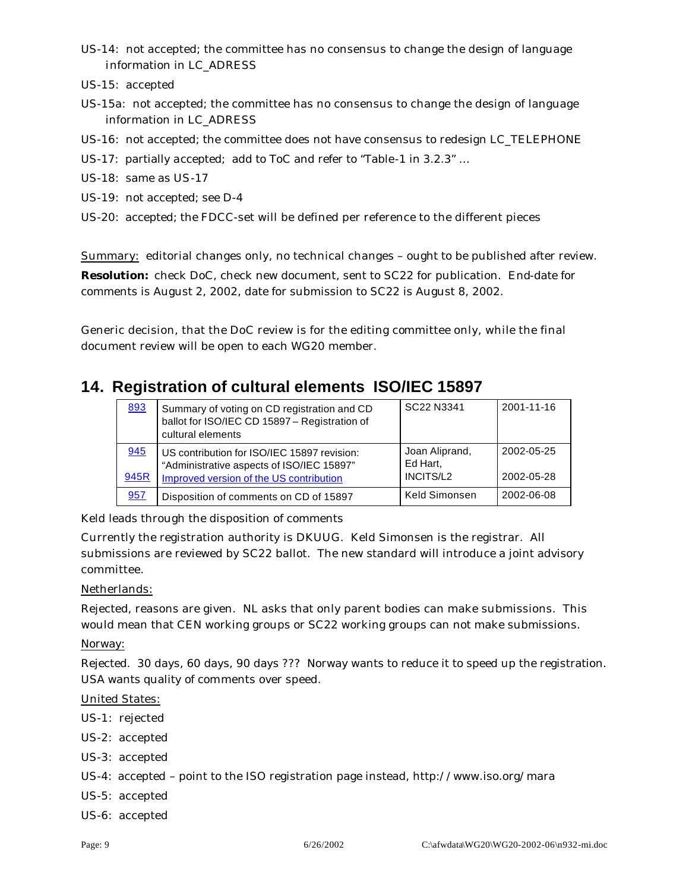- US-14: not accepted; the committee has no consensus to change the design of language information in LC\_ADRESS
- US-15: accepted
- US-15a: not accepted; the committee has no consensus to change the design of language information in LC\_ADRESS
- US-16: not accepted; the committee does not have consensus to redesign LC\_TELEPHONE
- US-17: partially accepted; add to ToC and refer to "Table-1 in 3.2.3" …
- US-18: same as US-17
- US-19: not accepted; see D-4
- US-20: accepted; the FDCC-set will be defined per reference to the different pieces

Summary: editorial changes only, no technical changes – ought to be published after review.

**Resolution:** check DoC, check new document, sent to SC22 for publication. End-date for comments is August 2, 2002, date for submission to SC22 is August 8, 2002.

Generic decision, that the DoC review is for the editing committee only, while the final document review will be open to each WG20 member.

### **14. Registration of cultural elements ISO/IEC 15897**

| 893  | Summary of voting on CD registration and CD<br>ballot for ISO/IEC CD 15897 - Registration of<br>cultural elements | SC22 N3341                 | 2001-11-16 |
|------|-------------------------------------------------------------------------------------------------------------------|----------------------------|------------|
| 945  | US contribution for ISO/IEC 15897 revision:<br>"Administrative aspects of ISO/IEC 15897"                          | Joan Aliprand,<br>Ed Hart, | 2002-05-25 |
| 945R | Improved version of the US contribution                                                                           | INCITS/L2                  | 2002-05-28 |
| 957  | Disposition of comments on CD of 15897                                                                            | Keld Simonsen              | 2002-06-08 |

Keld leads through the disposition of comments

Currently the registration authority is DKUUG. Keld Simonsen is the registrar. All submissions are reviewed by SC22 ballot. The new standard will introduce a joint advisory committee.

#### Netherlands:

Rejected, reasons are given. NL asks that only parent bodies can make submissions. This would mean that CEN working groups or SC22 working groups can not make submissions.

Norway:

Rejected. 30 days, 60 days, 90 days ??? Norway wants to reduce it to speed up the registration. USA wants quality of comments over speed.

United States:

- US-1: rejected
- US-2: accepted
- US-3: accepted

US-4: accepted – point to the ISO registration page instead, http://www.iso.org/mara

- US-5: accepted
- US-6: accepted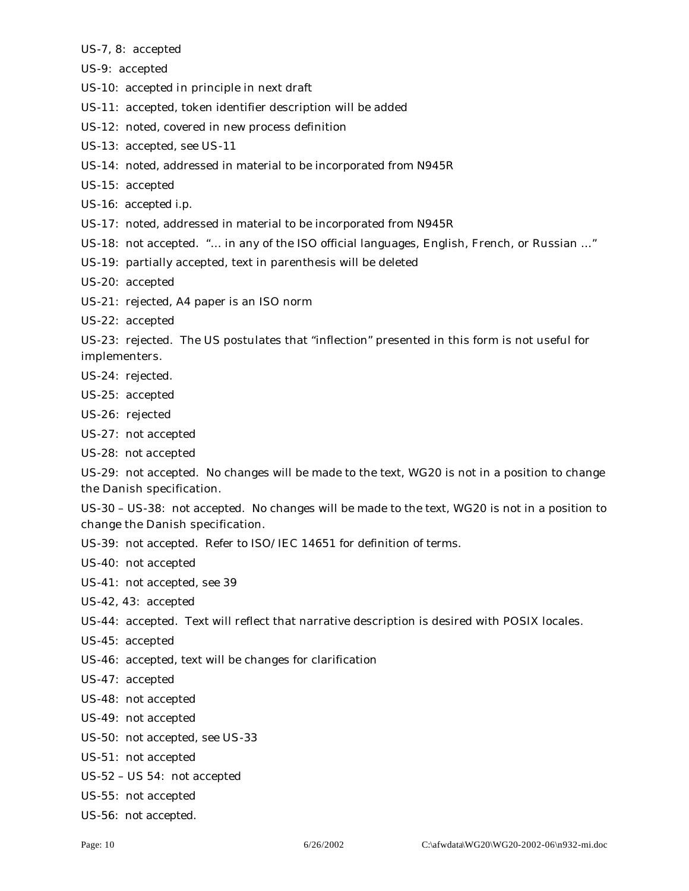US-7, 8: accepted

US-9: accepted

US-10: accepted in principle in next draft

US-11: accepted, token identifier description will be added

US-12: noted, covered in new process definition

US-13: accepted, see US-11

US-14: noted, addressed in material to be incorporated from N945R

US-15: accepted

US-16: accepted i.p.

US-17: noted, addressed in material to be incorporated from N945R

US-18: not accepted. "… in any of the ISO official languages, English, French, or Russian …"

US-19: partially accepted, text in parenthesis will be deleted

US-20: accepted

US-21: rejected, A4 paper is an ISO norm

US-22: accepted

US-23: rejected. The US postulates that "inflection" presented in this form is not useful for implementers.

US-24: rejected.

US-25: accepted

US-26: rejected

US-27: not accepted

US-28: not accepted

US-29: not accepted. No changes will be made to the text, WG20 is not in a position to change the Danish specification.

US-30 – US-38: not accepted. No changes will be made to the text, WG20 is not in a position to change the Danish specification.

US-39: not accepted. Refer to ISO/IEC 14651 for definition of terms.

US-40: not accepted

US-41: not accepted, see 39

US-42, 43: accepted

US-44: accepted. Text will reflect that narrative description is desired with POSIX locales.

US-45: accepted

US-46: accepted, text will be changes for clarification

US-47: accepted

US-48: not accepted

US-49: not accepted

US-50: not accepted, see US-33

US-51: not accepted

US-52 – US 54: not accepted

US-55: not accepted

US-56: not accepted.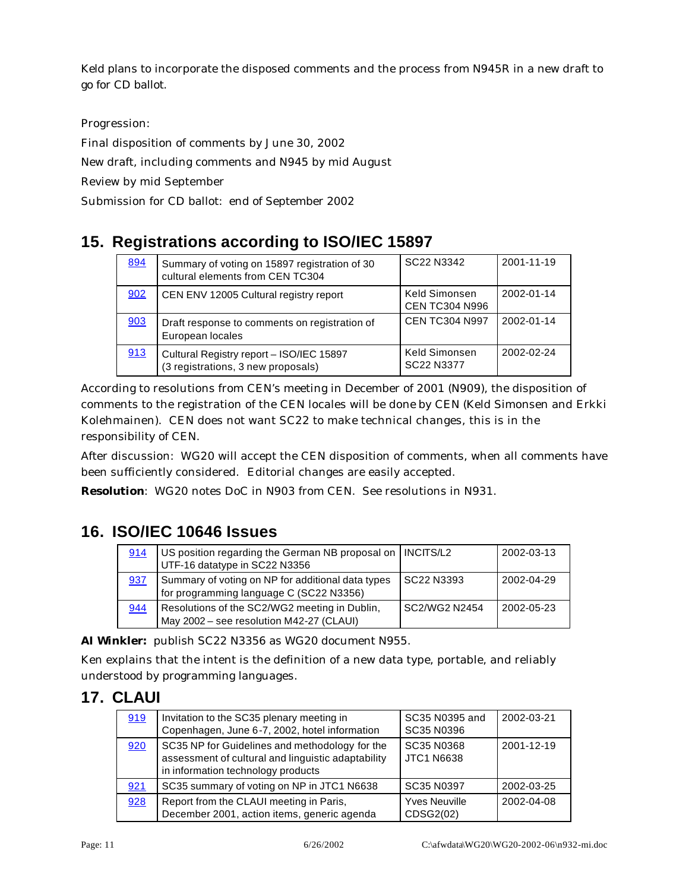Keld plans to incorporate the disposed comments and the process from N945R in a new draft to go for CD ballot.

Progression:

Final disposition of comments by June 30, 2002

New draft, including comments and N945 by mid August

Review by mid September

Submission for CD ballot: end of September 2002

# **15. Registrations according to ISO/IEC 15897**

| 894 | Summary of voting on 15897 registration of 30<br>cultural elements from CEN TC304 | SC <sub>22</sub> N <sub>3342</sub>     | 2001-11-19 |
|-----|-----------------------------------------------------------------------------------|----------------------------------------|------------|
| 902 | CEN ENV 12005 Cultural registry report                                            | Keld Simonsen<br><b>CEN TC304 N996</b> | 2002-01-14 |
| 903 | Draft response to comments on registration of<br>European locales                 | <b>CEN TC304 N997</b>                  | 2002-01-14 |
| 913 | Cultural Registry report - ISO/IEC 15897<br>(3 registrations, 3 new proposals)    | Keld Simonsen<br>SC22 N3377            | 2002-02-24 |

According to resolutions from CEN's meeting in December of 2001 (N909), the disposition of comments to the registration of the CEN locales will be done by CEN (Keld Simonsen and Erkki Kolehmainen). CEN does not want SC22 to make technical changes, this is in the responsibility of CEN.

After discussion: WG20 will accept the CEN disposition of comments, when all comments have been sufficiently considered. Editorial changes are easily accepted.

**Resolution**: WG20 notes DoC in N903 from CEN. See resolutions in N931.

# **16. ISO/IEC 10646 Issues**

| 914 | US position regarding the German NB proposal on   INCITS/L2<br>UTF-16 datatype in SC22 N3356 |               | 2002-03-13 |
|-----|----------------------------------------------------------------------------------------------|---------------|------------|
| 937 | Summary of voting on NP for additional data types<br>for programming language C (SC22 N3356) | SC22 N3393    | 2002-04-29 |
| 944 | Resolutions of the SC2/WG2 meeting in Dublin,<br>May 2002 - see resolution M42-27 (CLAUI)    | SC2/WG2 N2454 | 2002-05-23 |

**AI Winkler:** publish SC22 N3356 as WG20 document N955.

Ken explains that the intent is the definition of a new data type, portable, and reliably understood by programming languages.

# **17. CLAUI**

| 919 | Invitation to the SC35 plenary meeting in<br>Copenhagen, June 6-7, 2002, hotel information                                                 | SC35 N0395 and<br>SC35 N0396      | 2002-03-21 |
|-----|--------------------------------------------------------------------------------------------------------------------------------------------|-----------------------------------|------------|
| 920 | SC35 NP for Guidelines and methodology for the<br>assessment of cultural and linguistic adaptability<br>in information technology products | SC35 N0368<br><b>JTC1 N6638</b>   | 2001-12-19 |
| 921 | SC35 summary of voting on NP in JTC1 N6638                                                                                                 | SC35 N0397                        | 2002-03-25 |
| 928 | Report from the CLAUI meeting in Paris,<br>December 2001, action items, generic agenda                                                     | <b>Yves Neuville</b><br>CDSG2(02) | 2002-04-08 |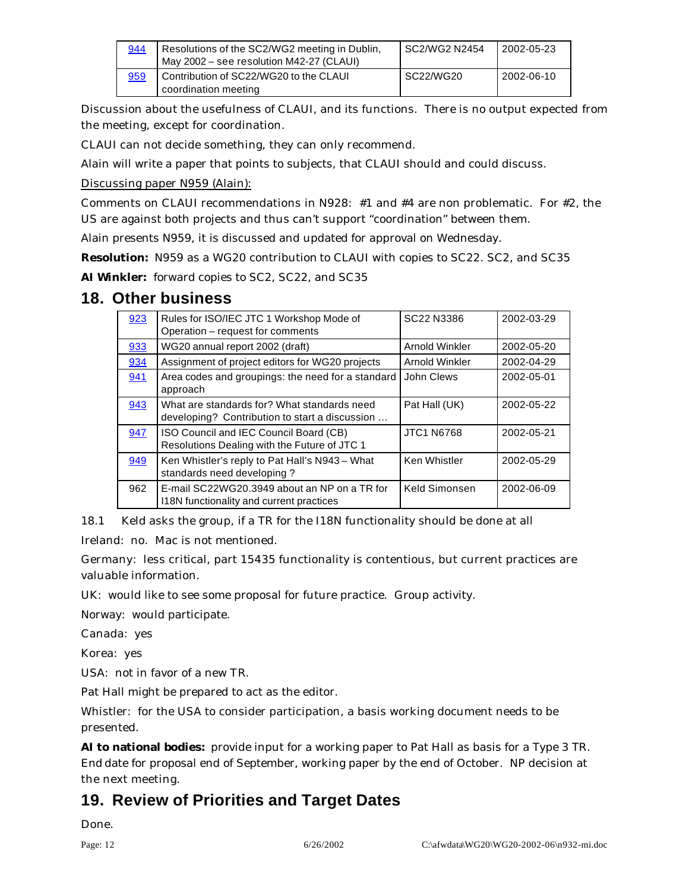| 944 | Resolutions of the SC2/WG2 meeting in Dublin,<br>May 2002 – see resolution M42-27 (CLAUI) | I SC2/WG2 N2454 | 2002-05-23 |
|-----|-------------------------------------------------------------------------------------------|-----------------|------------|
| 959 | Contribution of SC22/WG20 to the CLAUI<br>coordination meeting                            | SC22/WG20       | 2002-06-10 |

Discussion about the usefulness of CLAUI, and its functions. There is no output expected from the meeting, except for coordination.

CLAUI can not decide something, they can only recommend.

Alain will write a paper that points to subjects, that CLAUI should and could discuss.

Discussing paper N959 (Alain):

Comments on CLAUI recommendations in N928: #1 and #4 are non problematic. For #2, the US are against both projects and thus can't support "coordination" between them.

Alain presents N959, it is discussed and updated for approval on Wednesday.

**Resolution:** N959 as a WG20 contribution to CLAUI with copies to SC22. SC2, and SC35

**AI Winkler:** forward copies to SC2, SC22, and SC35

### **18. Other business**

| 923 | Rules for ISO/IEC JTC 1 Workshop Mode of<br>Operation - request for comments                  | SC22 N3386        | 2002-03-29 |
|-----|-----------------------------------------------------------------------------------------------|-------------------|------------|
| 933 | WG20 annual report 2002 (draft)                                                               | Arnold Winkler    | 2002-05-20 |
| 934 | Assignment of project editors for WG20 projects                                               | Arnold Winkler    | 2002-04-29 |
| 941 | Area codes and groupings: the need for a standard<br>approach                                 | John Clews        | 2002-05-01 |
| 943 | What are standards for? What standards need<br>developing? Contribution to start a discussion | Pat Hall (UK)     | 2002-05-22 |
| 947 | ISO Council and IEC Council Board (CB)<br>Resolutions Dealing with the Future of JTC 1        | <b>JTC1 N6768</b> | 2002-05-21 |
| 949 | Ken Whistler's reply to Pat Hall's N943 - What<br>standards need developing?                  | Ken Whistler      | 2002-05-29 |
| 962 | E-mail SC22WG20.3949 about an NP on a TR for<br>118N functionality and current practices      | Keld Simonsen     | 2002-06-09 |

18.1 Keld asks the group, if a TR for the I18N functionality should be done at all

Ireland: no. Mac is not mentioned.

Germany: less critical, part 15435 functionality is contentious, but current practices are valuable information.

UK: would like to see some proposal for future practice. Group activity.

Norway: would participate.

Canada: yes

Korea: yes

USA: not in favor of a new TR.

Pat Hall might be prepared to act as the editor.

Whistler: for the USA to consider participation, a basis working document needs to be presented.

**AI to national bodies:** provide input for a working paper to Pat Hall as basis for a Type 3 TR. End date for proposal end of September, working paper by the end of October. NP decision at the next meeting.

# **19. Review of Priorities and Target Dates**

Done.